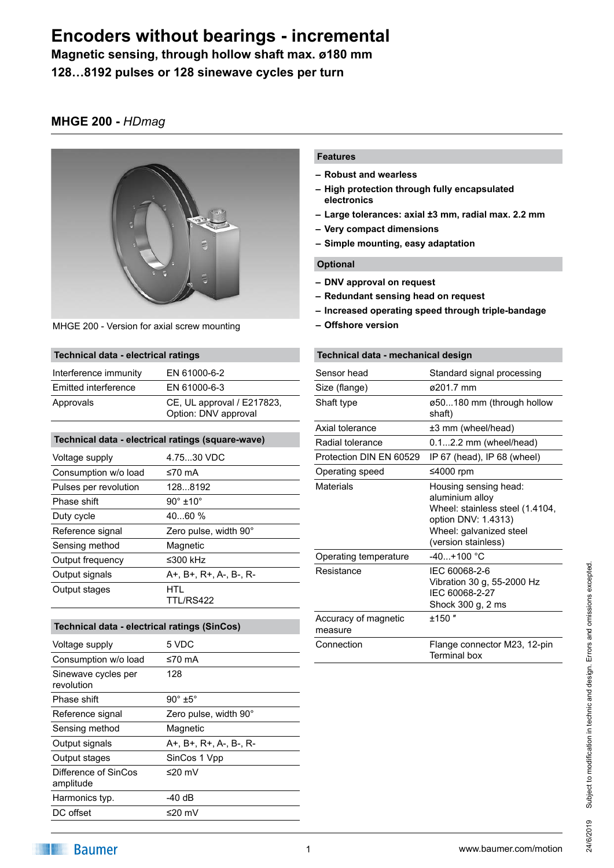**Magnetic sensing, through hollow shaft max. ø180 mm**

**128…8192 pulses or 128 sinewave cycles per turn**

### **MHGE 200 -** *HDmag*



MHGE 200 - Version for axial screw mounting

### **Technical data - electrical ratings**

| Interference immunity | EN 61000-6-2                                       |
|-----------------------|----------------------------------------------------|
| Emitted interference  | EN 61000-6-3                                       |
| Approvals             | CE, UL approval / E217823,<br>Option: DNV approval |

#### **Technical data - electrical ratings (square-wave)**

| Voltage supply        | 4.7530 VDC              |
|-----------------------|-------------------------|
| Consumption w/o load  | ≤70 mA                  |
| Pulses per revolution | 1288192                 |
| Phase shift           | $90^\circ \pm 10^\circ$ |
| Duty cycle            | 4060%                   |
| Reference signal      | Zero pulse, width 90°   |
| Sensing method        | Magnetic                |
| Output frequency      | ≤300 $k$ Hz             |
| Output signals        | A+, B+, R+, A-, B-, R-  |
| Output stages         | HTL<br>TTI /RS422       |
|                       |                         |

| Technical data - electrical ratings (SinCos) |                        |
|----------------------------------------------|------------------------|
| Voltage supply                               | 5 VDC                  |
| Consumption w/o load                         | ≤70 mA                 |
| Sinewave cycles per<br>revolution            | 128                    |
| Phase shift                                  | $90^\circ$ ±5°         |
| Reference signal                             | Zero pulse, width 90°  |
| Sensing method                               | Magnetic               |
| Output signals                               | A+, B+, R+, A-, B-, R- |
| Output stages                                | SinCos 1 Vpp           |
| Difference of SinCos<br>amplitude            | ≤20 mV                 |
| Harmonics typ.                               | -40 dB                 |
| DC offset                                    | ≤20 mV                 |
|                                              |                        |

### **Features**

- **– Robust and wearless**
- **– High protection through fully encapsulated electronics**
- **– Large tolerances: axial ±3 mm, radial max. 2.2 mm**
- **– Very compact dimensions**
- **– Simple mounting, easy adaptation**

### **Optional**

- **– DNV approval on request**
- **– Redundant sensing head on request**
- **– Increased operating speed through triple-bandage**
- **– Offshore version**

### **Technical data - mechanical design**

| Sensor head                     | Standard signal processing                                                                                                                           |
|---------------------------------|------------------------------------------------------------------------------------------------------------------------------------------------------|
| Size (flange)                   | ø201.7 mm                                                                                                                                            |
| Shaft type                      | ø50180 mm (through hollow<br>shaft)                                                                                                                  |
| Axial tolerance                 | ±3 mm (wheel/head)                                                                                                                                   |
| Radial tolerance                | $0.12.2$ mm (wheel/head)                                                                                                                             |
| Protection DIN EN 60529         | IP 67 (head), IP 68 (wheel)                                                                                                                          |
| Operating speed                 | ≤4000 rpm                                                                                                                                            |
| Materials                       | Housing sensing head:<br>aluminium alloy<br>Wheel: stainless steel (1.4104,<br>option DNV: 1.4313)<br>Wheel: galvanized steel<br>(version stainless) |
| Operating temperature           | $-40. + 100$ °C                                                                                                                                      |
| Resistance                      | IEC 60068-2-6<br>Vibration 30 g, 55-2000 Hz<br>IEC 60068-2-27<br>Shock 300 g, 2 ms                                                                   |
| Accuracy of magnetic<br>measure | $±150$ "                                                                                                                                             |
| Connection                      | Flange connector M23, 12-pin<br>Terminal box                                                                                                         |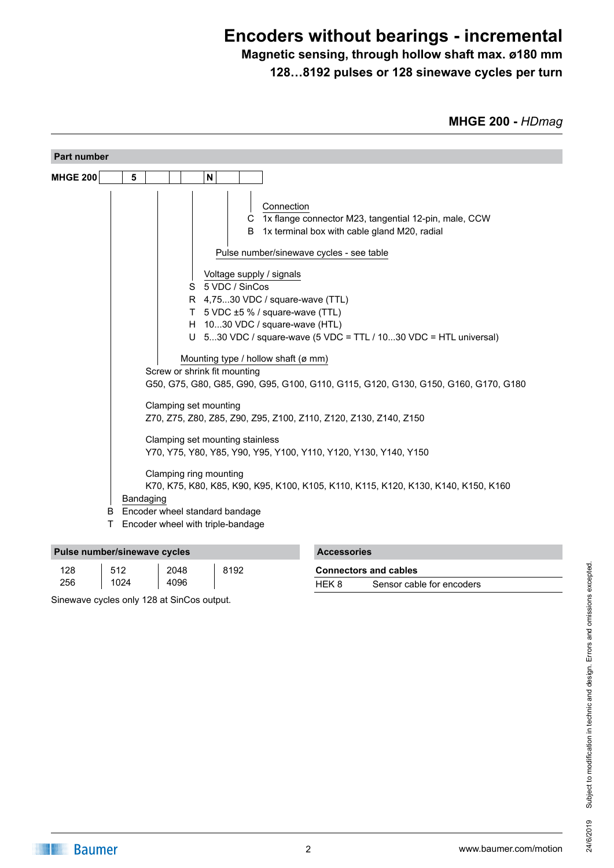### **Magnetic sensing, through hollow shaft max. ø180 mm 128…8192 pulses or 128 sinewave cycles per turn**

**MHGE 200 -** *HDmag*

| <b>Part number</b> |                                                                                                                                                                                                                                                                                                                                                                                                                                                                                                                                                                                                                                                                                                                                                                                                                                                                                                                                         |
|--------------------|-----------------------------------------------------------------------------------------------------------------------------------------------------------------------------------------------------------------------------------------------------------------------------------------------------------------------------------------------------------------------------------------------------------------------------------------------------------------------------------------------------------------------------------------------------------------------------------------------------------------------------------------------------------------------------------------------------------------------------------------------------------------------------------------------------------------------------------------------------------------------------------------------------------------------------------------|
| <b>MHGE 200</b>    | N<br>5                                                                                                                                                                                                                                                                                                                                                                                                                                                                                                                                                                                                                                                                                                                                                                                                                                                                                                                                  |
| B                  | Connection<br>C 1x flange connector M23, tangential 12-pin, male, CCW<br>1x terminal box with cable gland M20, radial<br>B<br>Pulse number/sinewave cycles - see table<br>Voltage supply / signals<br>5 VDC / SinCos<br>S<br>R 4,7530 VDC / square-wave (TTL)<br>T 5 VDC ±5 % / square-wave (TTL)<br>H 1030 VDC / square-wave (HTL)<br>U 530 VDC / square-wave (5 VDC = TTL / 1030 VDC = HTL universal)<br>Mounting type / hollow shaft (ø mm)<br>Screw or shrink fit mounting<br>G50, G75, G80, G85, G90, G95, G100, G110, G115, G120, G130, G150, G160, G170, G180<br>Clamping set mounting<br>Z70, Z75, Z80, Z85, Z90, Z95, Z100, Z110, Z120, Z130, Z140, Z150<br>Clamping set mounting stainless<br>Y70, Y75, Y80, Y85, Y90, Y95, Y100, Y110, Y120, Y130, Y140, Y150<br>Clamping ring mounting<br>K70, K75, K80, K85, K90, K95, K100, K105, K110, K115, K120, K130, K140, K150, K160<br>Bandaging<br>Encoder wheel standard bandage |
| т                  | Encoder wheel with triple-bandage                                                                                                                                                                                                                                                                                                                                                                                                                                                                                                                                                                                                                                                                                                                                                                                                                                                                                                       |

| Pulse number/sinewave cycles |      |      |      | <b>Accessories</b> |                              |
|------------------------------|------|------|------|--------------------|------------------------------|
| 128                          | 512  | 2048 | 8192 |                    | <b>Connectors and cables</b> |
| 256                          | 1024 | 4096 |      | HEK 8              | Sensor cable for encoders    |

Sinewave cycles only 128 at SinCos output.

| bles               |
|--------------------|
| cable for encoders |
|                    |
|                    |
|                    |
|                    |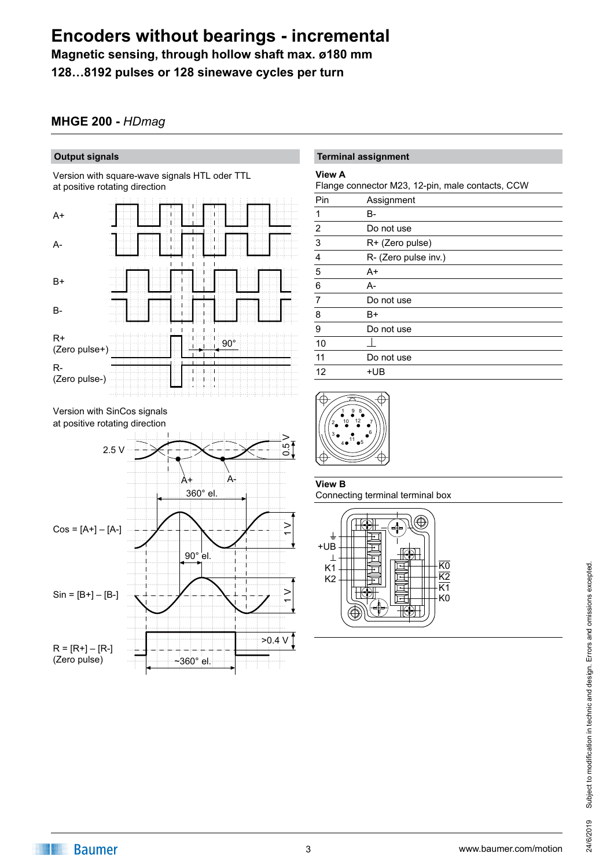**Magnetic sensing, through hollow shaft max. ø180 mm**

**128…8192 pulses or 128 sinewave cycles per turn**

### **MHGE 200 -** *HDmag*

### **Output signals**

Version with square-wave signals HTL oder TTL at positive rotating direction







### **Terminal assignment**

#### **View A**

Flange connector M23, 12-pin, male contacts, CCW

| ~                           |                      |
|-----------------------------|----------------------|
| Pin                         | Assignment           |
| 1                           | B-                   |
|                             | Do not use           |
| $\frac{2}{3}$ $\frac{1}{4}$ | R+ (Zero pulse)      |
|                             | R- (Zero pulse inv.) |
| $\overline{5}$              | A+                   |
| $\boldsymbol{6}$            | A-                   |
| $\overline{7}$              | Do not use           |
| 8                           | B+                   |
| 9                           | Do not use           |
| 10                          |                      |
| 11                          | Do not use           |
| 12                          | +UB                  |
|                             |                      |



**View B** Connecting terminal terminal box

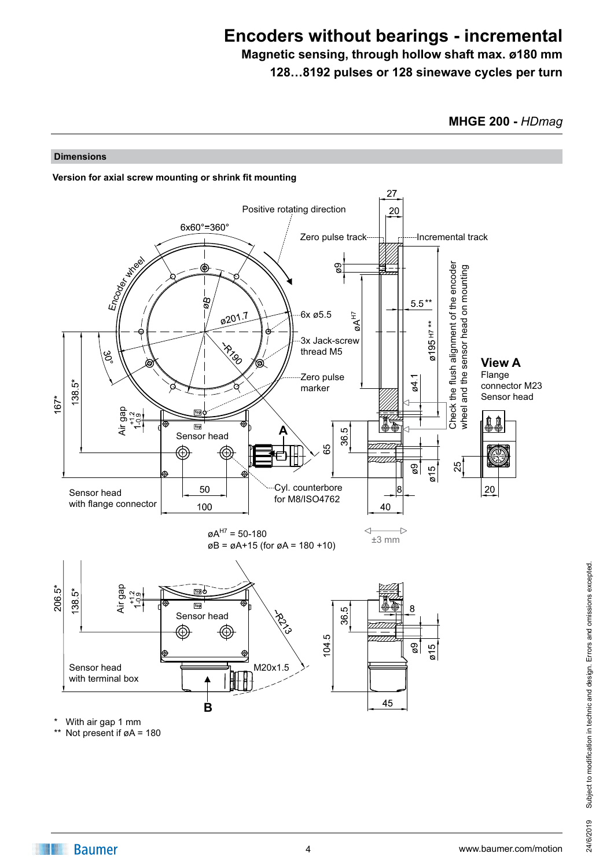**Magnetic sensing, through hollow shaft max. ø180 mm 128…8192 pulses or 128 sinewave cycles per turn**

**MHGE 200 -** *HDmag*

#### **Dimensions**



With air gap 1 mm

\*\* Not present if øA = 180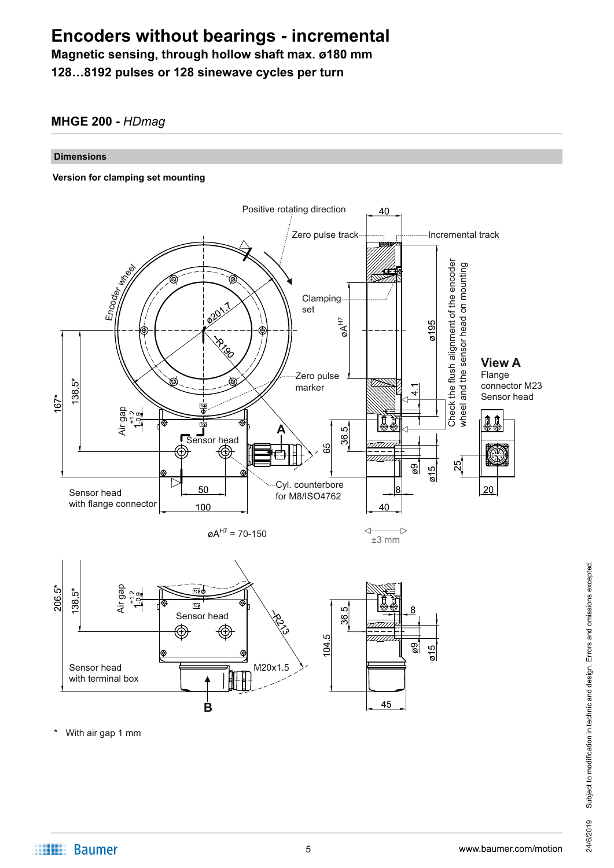**Magnetic sensing, through hollow shaft max. ø180 mm 128…8192 pulses or 128 sinewave cycles per turn**

### **MHGE 200 -** *HDmag*

#### **Dimensions**

#### **Version for clamping set mounting**



With air gap 1 mm